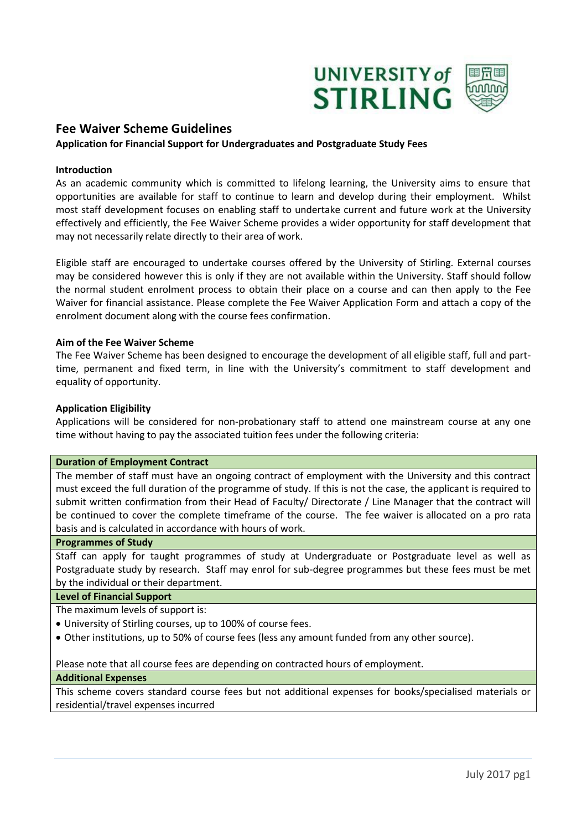

# **Fee Waiver Scheme Guidelines**

## **Application for Financial Support for Undergraduates and Postgraduate Study Fees**

### **Introduction**

As an academic community which is committed to lifelong learning, the University aims to ensure that opportunities are available for staff to continue to learn and develop during their employment. Whilst most staff development focuses on enabling staff to undertake current and future work at the University effectively and efficiently, the Fee Waiver Scheme provides a wider opportunity for staff development that may not necessarily relate directly to their area of work.

Eligible staff are encouraged to undertake courses offered by the University of Stirling. External courses may be considered however this is only if they are not available within the University. Staff should follow the normal student enrolment process to obtain their place on a course and can then apply to the Fee Waiver for financial assistance. Please complete the Fee Waiver Application Form and attach a copy of the enrolment document along with the course fees confirmation.

### **Aim of the Fee Waiver Scheme**

The Fee Waiver Scheme has been designed to encourage the development of all eligible staff, full and parttime, permanent and fixed term, in line with the University's commitment to staff development and equality of opportunity.

### **Application Eligibility**

Applications will be considered for non-probationary staff to attend one mainstream course at any one time without having to pay the associated tuition fees under the following criteria:

### **Duration of Employment Contract**

The member of staff must have an ongoing contract of employment with the University and this contract must exceed the full duration of the programme of study. If this is not the case, the applicant is required to submit written confirmation from their Head of Faculty/ Directorate / Line Manager that the contract will be continued to cover the complete timeframe of the course. The fee waiver is allocated on a pro rata basis and is calculated in accordance with hours of work.

### **Programmes of Study**

Staff can apply for taught programmes of study at Undergraduate or Postgraduate level as well as Postgraduate study by research. Staff may enrol for sub-degree programmes but these fees must be met by the individual or their department.

### **Level of Financial Support**

The maximum levels of support is:

- University of Stirling courses, up to 100% of course fees.
- Other institutions, up to 50% of course fees (less any amount funded from any other source).

Please note that all course fees are depending on contracted hours of employment.

### **Additional Expenses**

This scheme covers standard course fees but not additional expenses for books/specialised materials or residential/travel expenses incurred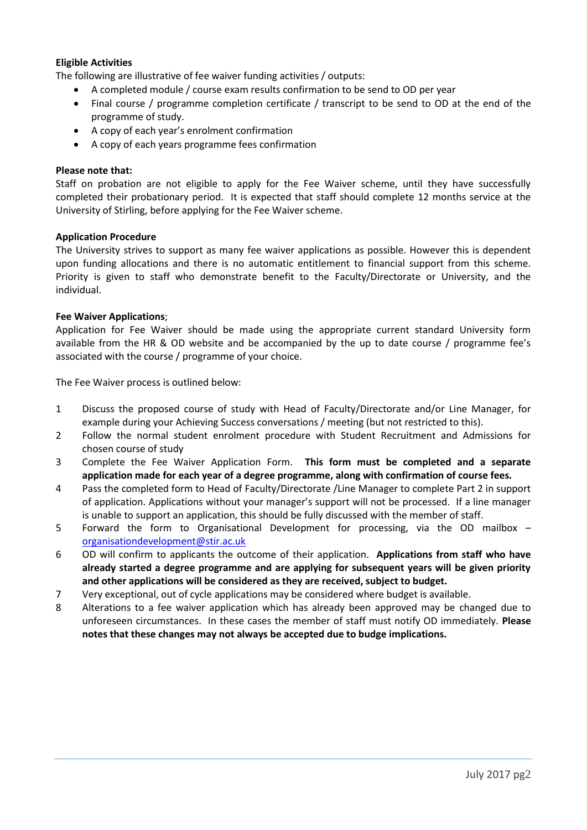# **Eligible Activities**

The following are illustrative of fee waiver funding activities / outputs:

- A completed module / course exam results confirmation to be send to OD per year
- Final course / programme completion certificate / transcript to be send to OD at the end of the programme of study.
- A copy of each year's enrolment confirmation
- A copy of each years programme fees confirmation

# **Please note that:**

Staff on probation are not eligible to apply for the Fee Waiver scheme, until they have successfully completed their probationary period. It is expected that staff should complete 12 months service at the University of Stirling, before applying for the Fee Waiver scheme.

## **Application Procedure**

The University strives to support as many fee waiver applications as possible. However this is dependent upon funding allocations and there is no automatic entitlement to financial support from this scheme. Priority is given to staff who demonstrate benefit to the Faculty/Directorate or University, and the individual.

## **Fee Waiver Applications**;

Application for Fee Waiver should be made using the appropriate current standard University form available from the HR & OD website and be accompanied by the up to date course / programme fee's associated with the course / programme of your choice.

The Fee Waiver process is outlined below:

- 1 Discuss the proposed course of study with Head of Faculty/Directorate and/or Line Manager, for example during your Achieving Success conversations / meeting (but not restricted to this).
- 2 Follow the normal student enrolment procedure with Student Recruitment and Admissions for chosen course of study
- 3 Complete the Fee Waiver Application Form. **This form must be completed and a separate application made for each year of a degree programme, along with confirmation of course fees.**
- 4 Pass the completed form to Head of Faculty/Directorate /Line Manager to complete Part 2 in support of application. Applications without your manager's support will not be processed. If a line manager is unable to support an application, this should be fully discussed with the member of staff.
- 5 Forward the form to Organisational Development for processing, via the OD mailbox [organisationdevelopment@stir.ac.uk](mailto:organisationdevelopment@stir.ac.uk)
- 6 OD will confirm to applicants the outcome of their application. **Applications from staff who have already started a degree programme and are applying for subsequent years will be given priority and other applications will be considered as they are received, subject to budget.**
- 7 Very exceptional, out of cycle applications may be considered where budget is available.
- 8 Alterations to a fee waiver application which has already been approved may be changed due to unforeseen circumstances. In these cases the member of staff must notify OD immediately. **Please notes that these changes may not always be accepted due to budge implications.**